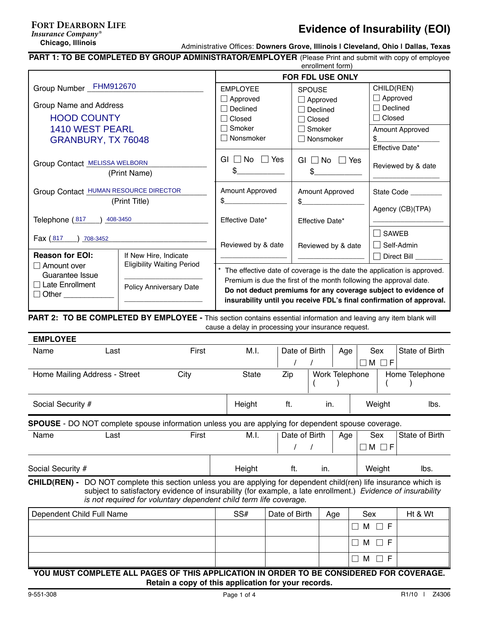#### **Chicago, Illinois FORT DEARBORN LIFE** *Insurance Company*

# **Evidence of Insurability (EOI)**

Administrative Offices: **Downers Grove, Illinois | Cleveland, Ohio | Dallas, Texas**

**PART 1: TO BE COMPLETED BY GROUP ADMINISTRATOR/EMPLOYER** (Please Print and submit with copy of employee

| enrollment form)                                               |                                                                    |                                                                                                                                                                                                                                                                                                                                      |  |  |  |  |  |  |
|----------------------------------------------------------------|--------------------------------------------------------------------|--------------------------------------------------------------------------------------------------------------------------------------------------------------------------------------------------------------------------------------------------------------------------------------------------------------------------------------|--|--|--|--|--|--|
| FOR FDL USE ONLY<br>Group Number _FHM912670                    |                                                                    |                                                                                                                                                                                                                                                                                                                                      |  |  |  |  |  |  |
| <b>EMPLOYEE</b>                                                | <b>SPOUSE</b>                                                      | CHILD(REN)                                                                                                                                                                                                                                                                                                                           |  |  |  |  |  |  |
| $\Box$ Approved                                                | $\Box$ Approved                                                    | $\Box$ Approved                                                                                                                                                                                                                                                                                                                      |  |  |  |  |  |  |
|                                                                |                                                                    | $\Box$ Declined                                                                                                                                                                                                                                                                                                                      |  |  |  |  |  |  |
| $\sqcap$ Closed                                                | $\Box$ Closed                                                      | $\Box$ Closed                                                                                                                                                                                                                                                                                                                        |  |  |  |  |  |  |
| $\sqcap$ Smoker                                                | $\sqsupset$ Smoker                                                 | Amount Approved                                                                                                                                                                                                                                                                                                                      |  |  |  |  |  |  |
| $\Box$ Nonsmoker                                               | $\Box$ Nonsmoker                                                   | \$                                                                                                                                                                                                                                                                                                                                   |  |  |  |  |  |  |
|                                                                |                                                                    | Effective Date*                                                                                                                                                                                                                                                                                                                      |  |  |  |  |  |  |
| GI $\Box$ No $\Box$ Yes                                        | GI $\Box$ No $\Box$ Yes                                            |                                                                                                                                                                                                                                                                                                                                      |  |  |  |  |  |  |
| \$                                                             |                                                                    | Reviewed by & date                                                                                                                                                                                                                                                                                                                   |  |  |  |  |  |  |
|                                                                |                                                                    |                                                                                                                                                                                                                                                                                                                                      |  |  |  |  |  |  |
| Amount Approved                                                | Amount Approved                                                    | State Code                                                                                                                                                                                                                                                                                                                           |  |  |  |  |  |  |
| $\mathbb{S}$                                                   |                                                                    |                                                                                                                                                                                                                                                                                                                                      |  |  |  |  |  |  |
|                                                                |                                                                    | Agency (CB)(TPA)                                                                                                                                                                                                                                                                                                                     |  |  |  |  |  |  |
| Effective Date*                                                | Effective Date*                                                    |                                                                                                                                                                                                                                                                                                                                      |  |  |  |  |  |  |
|                                                                |                                                                    | SAWEB                                                                                                                                                                                                                                                                                                                                |  |  |  |  |  |  |
| Reviewed by & date                                             |                                                                    | Self-Admin                                                                                                                                                                                                                                                                                                                           |  |  |  |  |  |  |
|                                                                |                                                                    | Direct Bill _______                                                                                                                                                                                                                                                                                                                  |  |  |  |  |  |  |
|                                                                |                                                                    |                                                                                                                                                                                                                                                                                                                                      |  |  |  |  |  |  |
|                                                                |                                                                    |                                                                                                                                                                                                                                                                                                                                      |  |  |  |  |  |  |
|                                                                | Premium is due the first of the month following the approval date. |                                                                                                                                                                                                                                                                                                                                      |  |  |  |  |  |  |
| Do not deduct premiums for any coverage subject to evidence of |                                                                    |                                                                                                                                                                                                                                                                                                                                      |  |  |  |  |  |  |
|                                                                |                                                                    |                                                                                                                                                                                                                                                                                                                                      |  |  |  |  |  |  |
|                                                                |                                                                    |                                                                                                                                                                                                                                                                                                                                      |  |  |  |  |  |  |
|                                                                | Declined                                                           | $\Box$ Declined<br>\$<br>$\frac{1}{2}$<br>Reviewed by & date<br>The effective date of coverage is the date the application is approved.<br>insurability until you receive FDL's final confirmation of approval.<br>PART 2: TO BE COMPLETED BY EMPLOYEE - This section contains essential information and leaving any item blank will |  |  |  |  |  |  |

 cause a delay in processing your insurance request.

| <b>EMPLOYEE</b>                                                                                           |                               |       |        |               |                |     |  |                |                |
|-----------------------------------------------------------------------------------------------------------|-------------------------------|-------|--------|---------------|----------------|-----|--|----------------|----------------|
| Name                                                                                                      | Last                          | First | M.I.   | Date of Birth |                | Age |  | Sex            | State of Birth |
|                                                                                                           |                               |       |        |               |                |     |  | $M \Box F$     |                |
|                                                                                                           | Home Mailing Address - Street | City  | State  | Zip           | Work Telephone |     |  | Home Telephone |                |
| Social Security #                                                                                         |                               |       | Height | ft.           | in.            |     |  | Weight         | lbs.           |
| <b>SPOUSE</b> - DO NOT complete spouse information unless you are applying for dependent spouse coverage. |                               |       |        |               |                |     |  |                |                |
| Name                                                                                                      | Last                          | First | M.I.   | Date of Birth |                | Age |  | Sex            | State of Birth |

/ / h M h F Ξ Social Security # The interval of the Height intervalse ft. in. The intervalse weight in the los.

**CHILD(REN) -** DO NOT complete this section unless you are applying for dependent child(ren) life insurance which is subject to satisfactory evidence of insurability (for example, a late enrollment.) *Evidence of insurability is not required for voluntary dependent child term life coverage.*

| Dependent Child Full Name                            | SS# | Date of Birth | Age | Sex                                | Ht & Wt |  |  |  |
|------------------------------------------------------|-----|---------------|-----|------------------------------------|---------|--|--|--|
|                                                      |     |               |     | F<br>M                             |         |  |  |  |
|                                                      |     |               |     | F<br>M<br>$\overline{\phantom{a}}$ |         |  |  |  |
|                                                      |     |               |     | F<br>M                             |         |  |  |  |
| _____________________________________<br>----<br>--- |     |               |     |                                    |         |  |  |  |

#### **YOU MUST COMPLETE ALL PAGES OF THIS APPLICATION IN ORDER TO BE CONSIDERED FOR COVERAGE. Retain a copy of this application for your records.**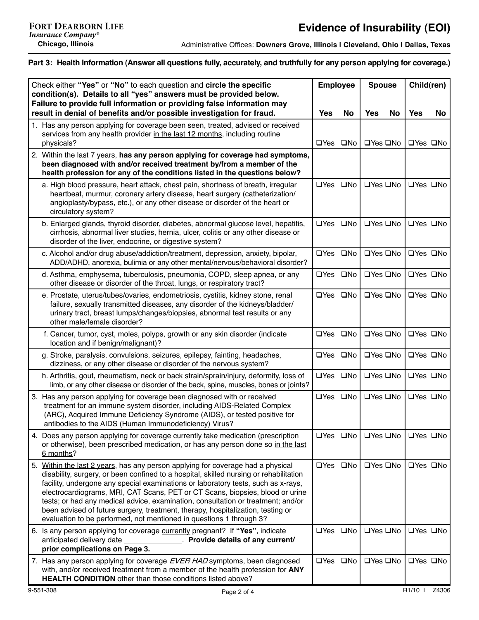Administrative Offices: **Downers Grove, Illinois | Cleveland, Ohio | Dallas, Texas**

#### **Part 3: Health Information (Answer all questions fully, accurately, and truthfully for any person applying for coverage.)**

| Check either "Yes" or "No" to each question and circle the specific                                                                                                                                                                                                                                                                                                                                                                                                                                                                                                                           | <b>Employee</b> |          | <b>Spouse</b>           |            | Child(ren)           |  |
|-----------------------------------------------------------------------------------------------------------------------------------------------------------------------------------------------------------------------------------------------------------------------------------------------------------------------------------------------------------------------------------------------------------------------------------------------------------------------------------------------------------------------------------------------------------------------------------------------|-----------------|----------|-------------------------|------------|----------------------|--|
| condition(s). Details to all "yes" answers must be provided below.<br>Failure to provide full information or providing false information may                                                                                                                                                                                                                                                                                                                                                                                                                                                  |                 |          |                         |            |                      |  |
| result in denial of benefits and/or possible investigation for fraud.                                                                                                                                                                                                                                                                                                                                                                                                                                                                                                                         | <b>Yes</b>      | No       | <b>Yes</b><br><b>No</b> | <b>Yes</b> | No.                  |  |
| 1. Has any person applying for coverage been seen, treated, advised or received<br>services from any health provider in the last 12 months, including routine<br>physicals?                                                                                                                                                                                                                                                                                                                                                                                                                   | □Yes □No        |          | □Yes □No                |            | $\Box$ Yes $\Box$ No |  |
| 2. Within the last 7 years, has any person applying for coverage had symptoms,<br>been diagnosed with and/or received treatment by/from a member of the<br>health profession for any of the conditions listed in the questions below?                                                                                                                                                                                                                                                                                                                                                         |                 |          |                         |            |                      |  |
| a. High blood pressure, heart attack, chest pain, shortness of breath, irregular<br>heartbeat, murmur, coronary artery disease, heart surgery (catheterization/<br>angioplasty/bypass, etc.), or any other disease or disorder of the heart or<br>circulatory system?                                                                                                                                                                                                                                                                                                                         |                 | □Yes □No | □Yes □No                |            | □Yes □No             |  |
| b. Enlarged glands, thyroid disorder, diabetes, abnormal glucose level, hepatitis,<br>cirrhosis, abnormal liver studies, hernia, ulcer, colitis or any other disease or<br>disorder of the liver, endocrine, or digestive system?                                                                                                                                                                                                                                                                                                                                                             | □Yes □No        |          | □Yes □No                |            | $\Box$ Yes $\Box$ No |  |
| c. Alcohol and/or drug abuse/addiction/treatment, depression, anxiety, bipolar,<br>ADD/ADHD, anorexia, bulimia or any other mental/nervous/behavioral disorder?                                                                                                                                                                                                                                                                                                                                                                                                                               | □Yes □No        |          | □Yes □No                |            | □Yes □No             |  |
| d. Asthma, emphysema, tuberculosis, pneumonia, COPD, sleep apnea, or any<br>other disease or disorder of the throat, lungs, or respiratory tract?                                                                                                                                                                                                                                                                                                                                                                                                                                             | □Yes □No        |          | □Yes □No                |            | $\Box$ Yes $\Box$ No |  |
| e. Prostate, uterus/tubes/ovaries, endometriosis, cystitis, kidney stone, renal<br>failure, sexually transmitted diseases, any disorder of the kidneys/bladder/<br>urinary tract, breast lumps/changes/biopsies, abnormal test results or any<br>other male/female disorder?                                                                                                                                                                                                                                                                                                                  | □Yes □No        |          | □Yes □No                |            | □Yes □No             |  |
| f. Cancer, tumor, cyst, moles, polyps, growth or any skin disorder (indicate<br>location and if benign/malignant)?                                                                                                                                                                                                                                                                                                                                                                                                                                                                            | □Yes □No        |          | □Yes □No                |            | □Yes □No             |  |
| g. Stroke, paralysis, convulsions, seizures, epilepsy, fainting, headaches,<br>dizziness, or any other disease or disorder of the nervous system?                                                                                                                                                                                                                                                                                                                                                                                                                                             | □Yes □No        |          | □Yes □No                |            | □Yes □No             |  |
| h. Arthritis, gout, rheumatism, neck or back strain/sprain/injury, deformity, loss of<br>limb, or any other disease or disorder of the back, spine, muscles, bones or joints?                                                                                                                                                                                                                                                                                                                                                                                                                 | □Yes □No        |          | □Yes □No                |            | □Yes □No             |  |
| 3. Has any person applying for coverage been diagnosed with or received<br>treatment for an immune system disorder, including AIDS-Related Complex<br>(ARC), Acquired Immune Deficiency Syndrome (AIDS), or tested positive for<br>antibodies to the AIDS (Human Immunodeficiency) Virus?                                                                                                                                                                                                                                                                                                     | □Yes □No        |          | □Yes □No                |            | □Yes □No             |  |
| 4. Does any person applying for coverage currently take medication (prescription<br>or otherwise), been prescribed medication, or has any person done so in the last<br>6 months?                                                                                                                                                                                                                                                                                                                                                                                                             | □Yes □No        |          | □Yes □No                |            | □Yes □No             |  |
| 5. Within the last 2 years, has any person applying for coverage had a physical<br>disability, surgery, or been confined to a hospital, skilled nursing or rehabilitation<br>facility, undergone any special examinations or laboratory tests, such as x-rays,<br>electrocardiograms, MRI, CAT Scans, PET or CT Scans, biopsies, blood or urine<br>tests; or had any medical advice, examination, consultation or treatment; and/or<br>been advised of future surgery, treatment, therapy, hospitalization, testing or<br>evaluation to be performed, not mentioned in questions 1 through 3? | □Yes □No        |          | □Yes □No                |            | □Yes □No             |  |
| 6. Is any person applying for coverage currently pregnant? If "Yes", indicate<br>Provide details of any current/<br>anticipated delivery date<br>prior complications on Page 3.                                                                                                                                                                                                                                                                                                                                                                                                               | □Yes □No        |          | □Yes □No                |            | □Yes □No             |  |
| 7. Has any person applying for coverage EVER HAD symptoms, been diagnosed<br>with, and/or received treatment from a member of the health profession for ANY<br><b>HEALTH CONDITION</b> other than those conditions listed above?                                                                                                                                                                                                                                                                                                                                                              | □Yes □No        |          | □Yes □No                |            | $\Box$ Yes $\Box$ No |  |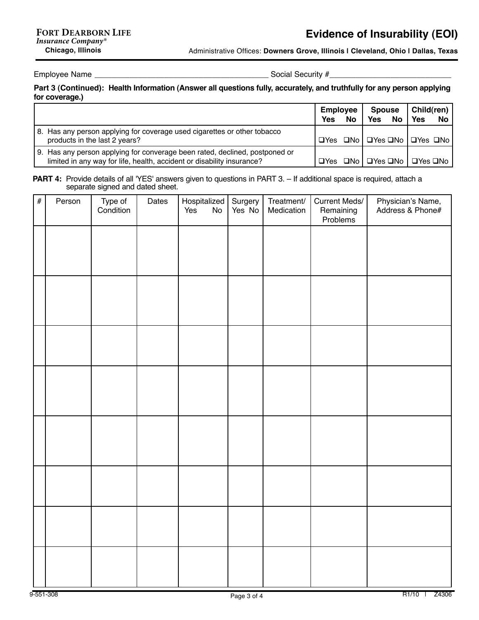Administrative Offices: **Downers Grove, Illinois | Cleveland, Ohio | Dallas, Texas**

Employee Name \_\_\_\_\_\_\_\_\_\_\_\_\_\_\_\_\_\_\_\_\_\_\_\_\_\_\_\_\_\_\_\_\_\_\_\_\_\_\_\_ Social Security #\_\_\_\_\_\_\_\_\_\_\_\_\_\_\_\_\_\_\_\_\_\_\_\_\_\_\_\_

### **Part 3 (Continued): Health Information (Answer all questions fully, accurately, and truthfully for any person applying for coverage.)**

|                                                                                                                                                       | Employee<br>Yes | No. | Spouse<br><b>Yes</b><br><b>No</b> | Child(ren)<br>Yes<br>No                                            |
|-------------------------------------------------------------------------------------------------------------------------------------------------------|-----------------|-----|-----------------------------------|--------------------------------------------------------------------|
| 8. Has any person applying for coverage used cigarettes or other tobacco<br>products in the last 2 years?                                             |                 |     |                                   | $\Box$ Yes $\Box$ No   $\Box$ Yes $\Box$ No   $\Box$ Yes $\Box$ No |
| 9. Has any person applying for converage been rated, declined, postponed or<br>limited in any way for life, health, accident or disability insurance? |                 |     |                                   | $\Box$ Yes $\Box$ No   $\Box$ Yes $\Box$ No   $\Box$ Yes $\Box$ No |

**PART 4:** Provide details of all 'YES' answers given to questions in PART 3. - If additional space is required, attach a separate signed and dated sheet.

| $\#$ | Person | Type of<br>Condition | Dates | Hospitalized<br>Yes<br>$\mathsf{No}$ | Surgery<br>Yes No | Treatment/<br>Medication | Current Meds/<br>Remaining<br>Problems | Physician's Name,<br>Address & Phone# |
|------|--------|----------------------|-------|--------------------------------------|-------------------|--------------------------|----------------------------------------|---------------------------------------|
|      |        |                      |       |                                      |                   |                          |                                        |                                       |
|      |        |                      |       |                                      |                   |                          |                                        |                                       |
|      |        |                      |       |                                      |                   |                          |                                        |                                       |
|      |        |                      |       |                                      |                   |                          |                                        |                                       |
|      |        |                      |       |                                      |                   |                          |                                        |                                       |
|      |        |                      |       |                                      |                   |                          |                                        |                                       |
|      |        |                      |       |                                      |                   |                          |                                        |                                       |
|      |        |                      |       |                                      |                   |                          |                                        |                                       |
|      |        |                      |       |                                      |                   |                          |                                        |                                       |
|      |        |                      |       |                                      |                   |                          |                                        |                                       |
|      |        |                      |       |                                      |                   |                          |                                        |                                       |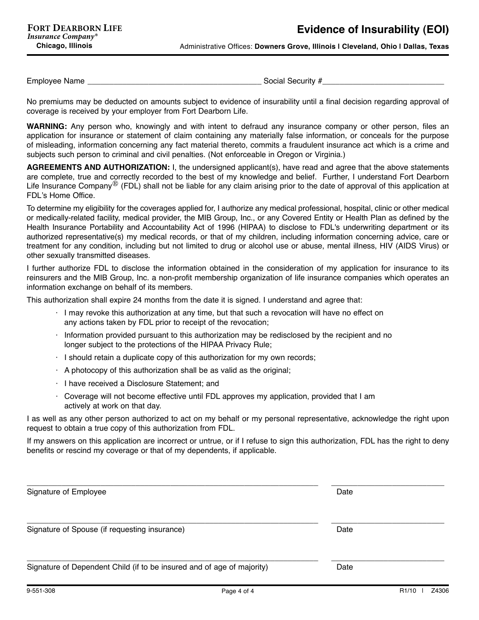Administrative Offices: **Downers Grove, Illinois | Cleveland, Ohio | Dallas, Texas**

Employee Name \_\_\_\_\_\_\_\_\_\_\_\_\_\_\_\_\_\_\_\_\_\_\_\_\_\_\_\_\_\_\_\_\_\_\_\_\_\_\_\_ Social Security #\_\_\_\_\_\_\_\_\_\_\_\_\_\_\_\_\_\_\_\_\_\_\_\_\_\_\_\_

No premiums may be deducted on amounts subject to evidence of insurability until a final decision regarding approval of coverage is received by your employer from Fort Dearborn Life.

**WARNING:** Any person who, knowingly and with intent to defraud any insurance company or other person, files an application for insurance or statement of claim containing any materially false information, or conceals for the purpose of misleading, information concerning any fact material thereto, commits a fraudulent insurance act which is a crime and subjects such person to criminal and civil penalties. (Not enforceable in Oregon or Virginia.)

**AGREEMENTS AND AUTHORIZATION:** I, the undersigned applicant(s), have read and agree that the above statements are complete, true and correctly recorded to the best of my knowledge and belief. Further, I understand Fort Dearborn Life Insurance Company<sup>®</sup> (FDL) shall not be liable for any claim arising prior to the date of approval of this application at FDL's Home Office.

To determine my eligibility for the coverages applied for, I authorize any medical professional, hospital, clinic or other medical or medically-related facility, medical provider, the MIB Group, Inc., or any Covered Entity or Health Plan as defined by the Health Insurance Portability and Accountability Act of 1996 (HIPAA) to disclose to FDL's underwriting department or its authorized representative(s) my medical records, or that of my children, including information concerning advice, care or treatment for any condition, including but not limited to drug or alcohol use or abuse, mental illness, HIV (AIDS Virus) or other sexually transmitted diseases.

I further authorize FDL to disclose the information obtained in the consideration of my application for insurance to its reinsurers and the MIB Group, Inc. a non-profit membership organization of life insurance companies which operates an information exchange on behalf of its members.

This authorization shall expire 24 months from the date it is signed. I understand and agree that:

- $\cdot$  I may revoke this authorization at any time, but that such a revocation will have no effect on any actions taken by FDL prior to receipt of the revocation;
- $\cdot$  Information provided pursuant to this authorization may be redisclosed by the recipient and no longer subject to the protections of the HIPAA Privacy Rule;
- $\cdot$  I should retain a duplicate copy of this authorization for my own records;
- $\cdot$  A photocopy of this authorization shall be as valid as the original;
- $\cdot$  I have received a Disclosure Statement; and
- $\cdot$  Coverage will not become effective until FDL approves my application, provided that I am actively at work on that day.

I as well as any other person authorized to act on my behalf or my personal representative, acknowledge the right upon request to obtain a true copy of this authorization from FDL.

If my answers on this application are incorrect or untrue, or if I refuse to sign this authorization, FDL has the right to deny benefits or rescind my coverage or that of my dependents, if applicable.

| Signature of Employee                                                  | Date |  |
|------------------------------------------------------------------------|------|--|
| Signature of Spouse (if requesting insurance)                          | Date |  |
| Signature of Dependent Child (if to be insured and of age of majority) | Date |  |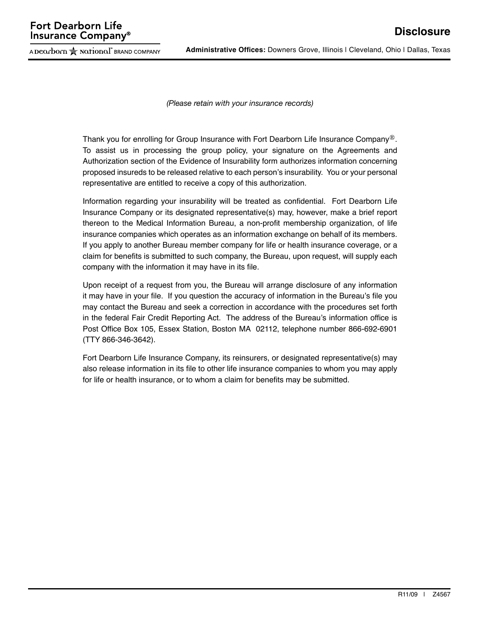A Dearborn  $\approx$  National" BRAND COMPANY

**Administrative Offices:** Downers Grove, Illinois | Cleveland, Ohio | Dallas, Texas

*(Please retain with your insurance records)*

Thank you for enrolling for Group Insurance with Fort Dearborn Life Insurance Company<sup>®</sup>. To assist us in processing the group policy, your signature on the Agreements and Authorization section of the Evidence of Insurability form authorizes information concerning proposed insureds to be released relative to each person's insurability. You or your personal representative are entitled to receive a copy of this authorization.

Information regarding your insurability will be treated as confidential. Fort Dearborn Life Insurance Company or its designated representative(s) may, however, make a brief report thereon to the Medical Information Bureau, a non-profit membership organization, of life insurance companies which operates as an information exchange on behalf of its members. If you apply to another Bureau member company for life or health insurance coverage, or a claim for benefits is submitted to such company, the Bureau, upon request, will supply each company with the information it may have in its file.

Upon receipt of a request from you, the Bureau will arrange disclosure of any information it may have in your file. If you question the accuracy of information in the Bureau's file you may contact the Bureau and seek a correction in accordance with the procedures set forth in the federal Fair Credit Reporting Act. The address of the Bureau's information office is Post Office Box 105, Essex Station, Boston MA 02112, telephone number 866-692-6901 (TTY 866-346-3642).

Fort Dearborn Life Insurance Company, its reinsurers, or designated representative(s) may also release information in its file to other life insurance companies to whom you may apply for life or health insurance, or to whom a claim for benefits may be submitted.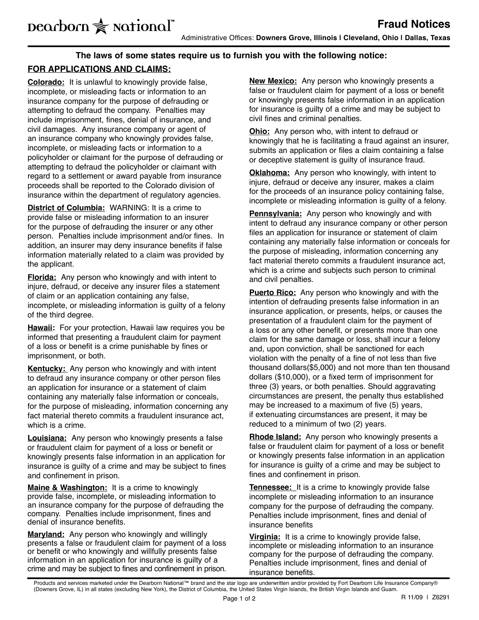## **The laws of some states require us to furnish you with the following notice:**

# **For Applications and Claims:**

**Colorado:** It is unlawful to knowingly provide false, incomplete, or misleading facts or information to an insurance company for the purpose of defrauding or attempting to defraud the company. Penalties may include imprisonment, fines, denial of insurance, and civil damages. Any insurance company or agent of an insurance company who knowingly provides false, incomplete, or misleading facts or information to a policyholder or claimant for the purpose of defrauding or attempting to defraud the policyholder or claimant with regard to a settlement or award payable from insurance proceeds shall be reported to the Colorado division of insurance within the department of regulatory agencies.

**District of Columbia:** WARNING: It is a crime to provide false or misleading information to an insurer for the purpose of defrauding the insurer or any other person. Penalties include imprisonment and/or fines. In addition, an insurer may deny insurance benefits if false information materially related to a claim was provided by the applicant.

**Florida:** Any person who knowingly and with intent to injure, defraud, or deceive any insurer files a statement of claim or an application containing any false, incomplete, or misleading information is guilty of a felony of the third degree.

**Hawaii:** For your protection, Hawaii law requires you be informed that presenting a fraudulent claim for payment of a loss or benefit is a crime punishable by fines or imprisonment, or both.

**Kentucky:** Any person who knowingly and with intent to defraud any insurance company or other person files an application for insurance or a statement of claim containing any materially false information or conceals, for the purpose of misleading, information concerning any fact material thereto commits a fraudulent insurance act, which is a crime.

**Louisiana:** Any person who knowingly presents a false or fraudulent claim for payment of a loss or benefit or knowingly presents false information in an application for insurance is guilty of a crime and may be subject to fines and confinement in prison.

**Maine & Washington:** It is a crime to knowingly provide false, incomplete, or misleading information to an insurance company for the purpose of defrauding the company. Penalties include imprisonment, fines and denial of insurance benefits.

**Maryland:** Any person who knowingly and willingly presents a false or fraudulent claim for payment of a loss or benefit or who knowingly and willfully presents false information in an application for insurance is guilty of a crime and may be subject to fines and confinement in prison.

**New Mexico:** Any person who knowingly presents a false or fraudulent claim for payment of a loss or benefit or knowingly presents false information in an application for insurance is guilty of a crime and may be subject to civil fines and criminal penalties.

**Ohio:** Any person who, with intent to defraud or knowingly that he is facilitating a fraud against an insurer, submits an application or files a claim containing a false or deceptive statement is guilty of insurance fraud.

**Oklahoma:** Any person who knowingly, with intent to injure, defraud or deceive any insurer, makes a claim for the proceeds of an insurance policy containing false, incomplete or misleading information is guilty of a felony.

**Pennsylvania:** Any person who knowingly and with intent to defraud any insurance company or other person files an application for insurance or statement of claim containing any materially false information or conceals for the purpose of misleading, information concerning any fact material thereto commits a fraudulent insurance act, which is a crime and subjects such person to criminal and civil penalties.

**Puerto Rico:** Any person who knowingly and with the intention of defrauding presents false information in an insurance application, or presents, helps, or causes the presentation of a fraudulent claim for the payment of a loss or any other benefit, or presents more than one claim for the same damage or loss, shall incur a felony and, upon conviction, shall be sanctioned for each violation with the penalty of a fine of not less than five thousand dollars(\$5,000) and not more than ten thousand dollars (\$10,000), or a fixed term of imprisonment for three (3) years, or both penalties. Should aggravating circumstances are present, the penalty thus established may be increased to a maximum of five (5) years, if extenuating circumstances are present, it may be reduced to a minimum of two (2) years.

**Rhode Island:** Any person who knowingly presents a false or fraudulent claim for payment of a loss or benefit or knowingly presents false information in an application for insurance is guilty of a crime and may be subject to fines and confinement in prison.

**Tennessee:** It is a crime to knowingly provide false incomplete or misleading information to an insurance company for the purpose of defrauding the company. Penalties include imprisonment, fines and denial of insurance benefits

**Virginia:** It is a crime to knowingly provide false, incomplete or misleading information to an insurance company for the purpose of defrauding the company. Penalties include imprisonment, fines and denial of insurance benefits.

Products and services marketed under the Dearborn National™ brand and the star logo are underwritten and/or provided by Fort Dearborn Life Insurance Company® (Downers Grove, IL) in all states (excluding New York), the District of Columbia, the United States Virgin Islands, the British Virgin Islands and Guam.